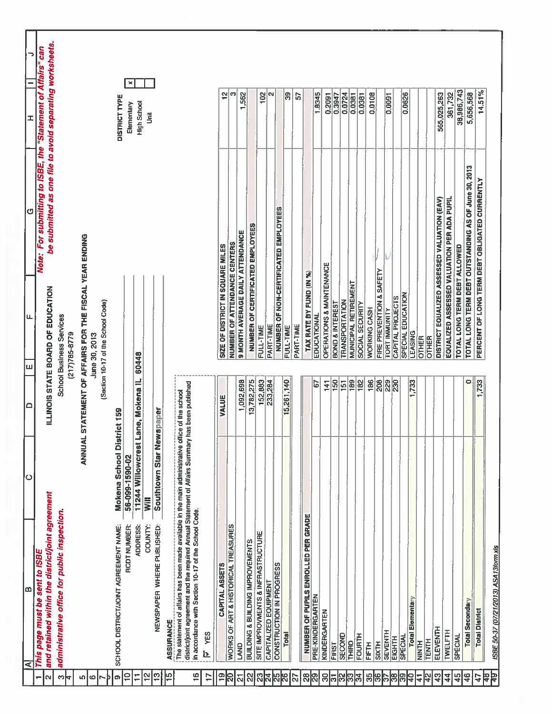|                    | B<br>⋖                                                                                                                                                   | ပ                          | ≏                    |                                                      |                                                        | ය                                                        | I                      | ∍   |
|--------------------|----------------------------------------------------------------------------------------------------------------------------------------------------------|----------------------------|----------------------|------------------------------------------------------|--------------------------------------------------------|----------------------------------------------------------|------------------------|-----|
| N                  | This page must be sent to ISBE                                                                                                                           |                            |                      |                                                      |                                                        | Note: For submitting to ISBE, the                        | "Statement of Affairs" | can |
|                    | and retained within the district/joint agreement                                                                                                         |                            |                      |                                                      | ILLINOIS STATE BOARD OF EDUCATION                      | be submitted as one file to avoid separating worksheets. |                        |     |
| S<br>₩             | administrative office for public inspection.                                                                                                             |                            |                      | <b>School Business Services</b><br>$(217)785 - 8779$ |                                                        |                                                          |                        |     |
|                    |                                                                                                                                                          |                            |                      |                                                      |                                                        |                                                          |                        |     |
| Ю<br>$\omega$      |                                                                                                                                                          |                            |                      | June 30, 2013                                        | ANNUAL STATEMENT OF AFFAIRS FOR THE FISCAL YEAR ENDING |                                                          |                        |     |
|                    |                                                                                                                                                          |                            |                      |                                                      | (Section 10-17 of the School Code)                     |                                                          |                        |     |
| Þ                  |                                                                                                                                                          |                            |                      |                                                      |                                                        |                                                          |                        |     |
| $\frac{1}{2}$<br>œ | SCHOOL DISTRICT/JOINT AGREEMENT NAME:                                                                                                                    | Mokena School District 159 |                      |                                                      |                                                        |                                                          | <b>DISTRICT TYPE</b>   |     |
| Ξ                  | <b>RCDT NUMBER:</b>                                                                                                                                      | 56-099-1590-02             |                      |                                                      |                                                        |                                                          | Elemenlary             | ×   |
|                    | <b>ADDRESS</b>                                                                                                                                           | 11244 Willowcrest          | Lane, Mokena IL      | 60448                                                |                                                        |                                                          | High School            |     |
| 잎                  | COUNTY:                                                                                                                                                  | Will                       |                      |                                                      |                                                        |                                                          | Ŝ                      |     |
| $\frac{1}{2}$      | NEWSPAPER WHERE PUBLISHED:                                                                                                                               | Southtown Star Newspaper   |                      |                                                      |                                                        |                                                          |                        |     |
| ပူ                 | The statement of affairs has been made available in the main administrative office of the school<br>ASSURANCE                                            |                            |                      |                                                      |                                                        |                                                          |                        |     |
| $\overline{1}$     | district/joint agreement and the required Annual Statement of Affairs Summary has been published<br>in accordance with Section 10-17 of the School Code. |                            |                      |                                                      |                                                        |                                                          |                        |     |
| 1,                 | YES<br><u> Ն</u>                                                                                                                                         |                            |                      |                                                      |                                                        |                                                          |                        |     |
| $\overline{1}$     | CAPITAL ASSETS                                                                                                                                           |                            | VALUE                |                                                      | SIZE OF DISTRICT IN SQUARE MILES                       |                                                          | 읩                      |     |
| $\mathbb{S}$       | WORKS OF ART & HISTORICAL TREASURES                                                                                                                      |                            |                      |                                                      | NUMBER OF ATTENDANCE CENTERS                           |                                                          | S                      |     |
| <u>ត</u>           | S                                                                                                                                                        |                            | 1,092,698            |                                                      | <b>9 MONTH AVERAGE DAILY ATTENDANCE</b>                |                                                          | 1,562                  |     |
| 2                  | BUILDING & BUILDING IMPROVEMENTS                                                                                                                         |                            | 13,782,275           |                                                      | NUMBER OF CERTIFICATED EMPLOYEES                       |                                                          |                        |     |
| ଅ                  | SITE IMPROVMENTS & INFRASTRUCTURE                                                                                                                        |                            | 152,883              |                                                      | FULL-TIME                                              |                                                          | 102                    |     |
| 4                  | CAPITALIZED EQUIPMENT                                                                                                                                    |                            | 233,284              |                                                      | <b>PART-TIME</b>                                       |                                                          | N                      |     |
| ပ္ကု<br>8          | CONSTRUCTION IN PROGRESS                                                                                                                                 |                            |                      |                                                      |                                                        | <b>NUMBER OF NON-CERTIFICATED EMPLOYEES</b>              |                        |     |
|                    | <b>Total</b>                                                                                                                                             |                            | 15,261,140           |                                                      | FULL-TIME                                              |                                                          | ခြွ                    |     |
| 22                 |                                                                                                                                                          |                            |                      |                                                      | PART-TIME                                              |                                                          | 57                     |     |
| ္လ                 | NUMBER OF PUPILS ENROLLED PER GRADE                                                                                                                      |                            |                      |                                                      | TAX RATE BY FUND (IN %)                                |                                                          |                        |     |
| ဇ္လု               | PRE-KINDERGARTEN                                                                                                                                         |                            | 67                   |                                                      | EDUCATIONAL                                            |                                                          | 1.8345                 |     |
| 8                  | KINDERGARTEN                                                                                                                                             |                            | 141                  |                                                      | OPERATIONS & MAINTENANCE                               |                                                          | 0.2091                 |     |
| သြ<br>ಸ            | SECOND<br>FIRST                                                                                                                                          |                            | 150                  |                                                      | <b>BOND &amp; INTEREST</b>                             |                                                          | 0.3947                 |     |
| ြို့               | THIRD                                                                                                                                                    |                            | 189<br>$\frac{5}{1}$ |                                                      | <b>TRANSPORTATION</b>                                  |                                                          | 0.0724                 |     |
| ಕ್ಷ                | FOURTH                                                                                                                                                   |                            | 182                  |                                                      | MUNICIPAL RETIREMENT<br>SOCIAL SECURITY                |                                                          | 0.0381<br>0.0381       |     |
| မ္က                | FIFTH                                                                                                                                                    |                            | 186                  |                                                      | WORKING CASH                                           |                                                          | 0.0108                 |     |
| శి                 | <b>SIXTH</b>                                                                                                                                             |                            | 208                  |                                                      | FIRE PREVENTION & SAFETY                               |                                                          |                        |     |
|                    | <b>SEVENTH</b>                                                                                                                                           |                            | 229                  |                                                      | <b>TORT IMMUNITY</b>                                   |                                                          | 0.0091                 |     |
| န္တ                | EIGHTH                                                                                                                                                   |                            | $\overline{30}$      |                                                      | CAPITAL PROJECTS                                       |                                                          |                        |     |
| ၉<br>la<br>4       | <b>SPECIAL</b>                                                                                                                                           |                            |                      |                                                      | SPECIAL EDUCATION                                      |                                                          | 0.0626                 |     |
| 4                  | <b>Total Elementary</b><br>HINNEY                                                                                                                        |                            | 1,733                | LEASING<br>OTHER                                     |                                                        |                                                          |                        |     |
| $\frac{5}{4}$      | <b>TENTH</b>                                                                                                                                             |                            |                      | OTHER                                                |                                                        |                                                          |                        |     |
| $\frac{3}{4}$      | ELEVENTH                                                                                                                                                 |                            |                      |                                                      |                                                        | DISTRICT EQUALIZED ASSESSED VALUATION (EAV)              | 565,025,263            |     |
| $\frac{4}{4}$      | TWELFTH                                                                                                                                                  |                            |                      |                                                      |                                                        | EQUALIZED ASSESSED VALUATION PER ADA PUPIL               | 361,732                |     |
| 45                 | SPECIAL                                                                                                                                                  |                            |                      |                                                      | TOTAL LONG TERM DEBT ALLOWED                           |                                                          | 38,986,743             |     |
| 46                 | Total Secondary                                                                                                                                          |                            | $\mathbf{\circ}$     |                                                      |                                                        | TOTAL LONG TERM DEBT OUTSTANDING AS OF June 30, 2013     | 5,656,568              |     |
| $\ddot{4}$         | <b>Total District</b>                                                                                                                                    |                            | ,733                 |                                                      |                                                        | PERCENT OF LONG TERM DEBT OBLIGATED CURRENTLY            | 14.51%                 |     |
| 혂뭑                 |                                                                                                                                                          |                            |                      |                                                      |                                                        |                                                          |                        |     |
|                    | ISBE 50-37 (07/21/2013) ASA13form.xls                                                                                                                    |                            |                      |                                                      |                                                        |                                                          |                        |     |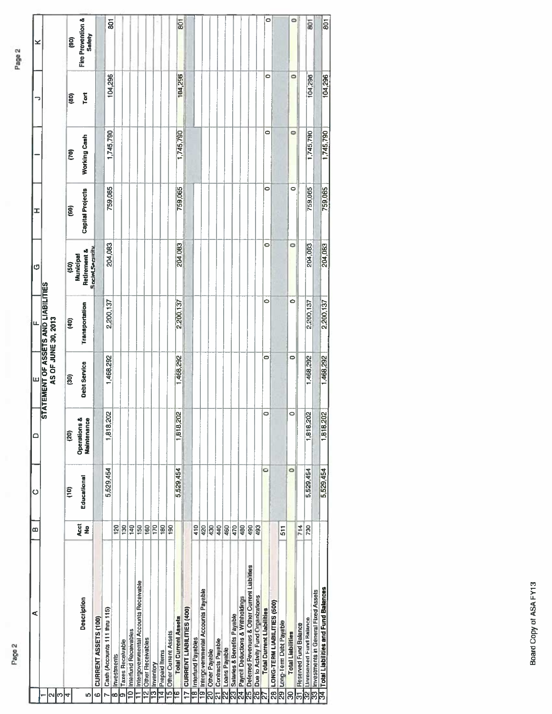| o<br>Fire Prevention &<br>0<br>$\overline{5}$<br>$\overline{5}$<br>$\overline{801}$<br>801<br>Safety<br>ê<br>o<br>104,296<br>104,296<br>0<br>104,296<br>104,296<br>Ĕ<br>මූ<br>0<br>1,745,790<br>$\Rightarrow$<br>1,745,790<br>1,745,790<br>1,745,790<br>Working Cash<br>g<br>0<br>0<br>759,065<br>759,065<br>759,065<br>759,065<br><b>Capital Projects</b><br>$\widehat{\mathbf{g}}$<br>۰<br>۰<br>204,083<br>204,083<br>204,083<br>204,083<br><b>Social Security</b><br>Retirement &<br>Municipal<br>$\overline{60}$<br><b>STATEMENT OF ASSETS AND LIABILITIES</b><br>Ō<br>Ó<br>2,200,137<br>2,200,137<br>2,200,137<br>2,200,137<br>Transportation<br>AS OF JUNE 30, 2013<br>ê<br>Ó<br>$\bullet$<br>1,468,292<br>1,468,292<br>1,468,292<br>1,468,292<br>Debt Service<br>ŝ<br>1,818,202<br>1,818,202<br>0<br>0<br>1,818,202<br>1,818,202<br>Operations &<br>Maintenance<br>$\overline{3}$<br>0<br>0<br>5,529,454<br>5,529,454<br>5,529,454<br>5,529,454<br>Educational<br>e<br>Acct<br>140<br>160<br>170<br>410<br>$\frac{9}{2}$<br>120<br>$\frac{8}{2}$<br>150<br>180<br>190<br>430<br>440<br>460<br>470<br>480<br>490<br>493<br>714<br>420<br>730<br>511<br>Deferred Revenues & Other Current Liabilities<br>Intergovernmental Accounts Receivable<br>34 Total Liabilities and Fund Balances<br>9 Intergovernmental Accounts Payable<br>Investments in General Fixed Assets<br>26 Due to Activity Fund Organizations<br>Payroll Deductions & Withholdings<br>Description<br>LONG-TERM LIABILITIES (500)<br>Cash (Accounts 111 thru 115)<br><b>Total Current Liabilities</b><br>CURRENT LIABILITIES (400)<br>Salaries & Benefits Payable<br><b>Total Current Assets</b><br>CURRENT ASSETS (100)<br><b>Unreserved Fund Balance</b><br>Long-Term Debt Payable<br><b>Reserved Fund Balance</b><br>Interfund Receivables<br>Other Current Assets<br><b>Total Liabilities</b><br>8 Interfund Payables<br><b>Other Receivables</b><br>Contracts Payable<br><b>Taxes Receivable</b><br><b>Loans Payable</b><br>20 Other Payable<br>Prepaid Items<br>Investments<br>Inventory<br>$\overline{\mathbf{r}}$<br>ø<br>ø<br>g<br>r<br>ಣ<br>24<br>N<br>႙<br>Ξ<br>႙ၟ<br>ဇာ<br>LŊ,<br>N<br>4<br>ە<br>∞<br>ෆ<br>ကြ | ⋖ | œ | Ò | ۵ | ш | щ | ¢ | ェ | っ | × |
|--------------------------------------------------------------------------------------------------------------------------------------------------------------------------------------------------------------------------------------------------------------------------------------------------------------------------------------------------------------------------------------------------------------------------------------------------------------------------------------------------------------------------------------------------------------------------------------------------------------------------------------------------------------------------------------------------------------------------------------------------------------------------------------------------------------------------------------------------------------------------------------------------------------------------------------------------------------------------------------------------------------------------------------------------------------------------------------------------------------------------------------------------------------------------------------------------------------------------------------------------------------------------------------------------------------------------------------------------------------------------------------------------------------------------------------------------------------------------------------------------------------------------------------------------------------------------------------------------------------------------------------------------------------------------------------------------------------------------------------------------------------------------------------------------------------------------------------------------------------------------------------------------------------------------------------------------------------------------------------------------------------------------------------------------------------------------------------------------------------------------------------------------------------------------------------------------|---|---|---|---|---|---|---|---|---|---|
|                                                                                                                                                                                                                                                                                                                                                                                                                                                                                                                                                                                                                                                                                                                                                                                                                                                                                                                                                                                                                                                                                                                                                                                                                                                                                                                                                                                                                                                                                                                                                                                                                                                                                                                                                                                                                                                                                                                                                                                                                                                                                                                                                                                                  |   |   |   |   |   |   |   |   |   |   |
|                                                                                                                                                                                                                                                                                                                                                                                                                                                                                                                                                                                                                                                                                                                                                                                                                                                                                                                                                                                                                                                                                                                                                                                                                                                                                                                                                                                                                                                                                                                                                                                                                                                                                                                                                                                                                                                                                                                                                                                                                                                                                                                                                                                                  |   |   |   |   |   |   |   |   |   |   |
|                                                                                                                                                                                                                                                                                                                                                                                                                                                                                                                                                                                                                                                                                                                                                                                                                                                                                                                                                                                                                                                                                                                                                                                                                                                                                                                                                                                                                                                                                                                                                                                                                                                                                                                                                                                                                                                                                                                                                                                                                                                                                                                                                                                                  |   |   |   |   |   |   |   |   |   |   |
|                                                                                                                                                                                                                                                                                                                                                                                                                                                                                                                                                                                                                                                                                                                                                                                                                                                                                                                                                                                                                                                                                                                                                                                                                                                                                                                                                                                                                                                                                                                                                                                                                                                                                                                                                                                                                                                                                                                                                                                                                                                                                                                                                                                                  |   |   |   |   |   |   |   |   |   |   |
|                                                                                                                                                                                                                                                                                                                                                                                                                                                                                                                                                                                                                                                                                                                                                                                                                                                                                                                                                                                                                                                                                                                                                                                                                                                                                                                                                                                                                                                                                                                                                                                                                                                                                                                                                                                                                                                                                                                                                                                                                                                                                                                                                                                                  |   |   |   |   |   |   |   |   |   |   |
|                                                                                                                                                                                                                                                                                                                                                                                                                                                                                                                                                                                                                                                                                                                                                                                                                                                                                                                                                                                                                                                                                                                                                                                                                                                                                                                                                                                                                                                                                                                                                                                                                                                                                                                                                                                                                                                                                                                                                                                                                                                                                                                                                                                                  |   |   |   |   |   |   |   |   |   |   |
|                                                                                                                                                                                                                                                                                                                                                                                                                                                                                                                                                                                                                                                                                                                                                                                                                                                                                                                                                                                                                                                                                                                                                                                                                                                                                                                                                                                                                                                                                                                                                                                                                                                                                                                                                                                                                                                                                                                                                                                                                                                                                                                                                                                                  |   |   |   |   |   |   |   |   |   |   |
|                                                                                                                                                                                                                                                                                                                                                                                                                                                                                                                                                                                                                                                                                                                                                                                                                                                                                                                                                                                                                                                                                                                                                                                                                                                                                                                                                                                                                                                                                                                                                                                                                                                                                                                                                                                                                                                                                                                                                                                                                                                                                                                                                                                                  |   |   |   |   |   |   |   |   |   |   |
|                                                                                                                                                                                                                                                                                                                                                                                                                                                                                                                                                                                                                                                                                                                                                                                                                                                                                                                                                                                                                                                                                                                                                                                                                                                                                                                                                                                                                                                                                                                                                                                                                                                                                                                                                                                                                                                                                                                                                                                                                                                                                                                                                                                                  |   |   |   |   |   |   |   |   |   |   |
|                                                                                                                                                                                                                                                                                                                                                                                                                                                                                                                                                                                                                                                                                                                                                                                                                                                                                                                                                                                                                                                                                                                                                                                                                                                                                                                                                                                                                                                                                                                                                                                                                                                                                                                                                                                                                                                                                                                                                                                                                                                                                                                                                                                                  |   |   |   |   |   |   |   |   |   |   |
|                                                                                                                                                                                                                                                                                                                                                                                                                                                                                                                                                                                                                                                                                                                                                                                                                                                                                                                                                                                                                                                                                                                                                                                                                                                                                                                                                                                                                                                                                                                                                                                                                                                                                                                                                                                                                                                                                                                                                                                                                                                                                                                                                                                                  |   |   |   |   |   |   |   |   |   |   |
|                                                                                                                                                                                                                                                                                                                                                                                                                                                                                                                                                                                                                                                                                                                                                                                                                                                                                                                                                                                                                                                                                                                                                                                                                                                                                                                                                                                                                                                                                                                                                                                                                                                                                                                                                                                                                                                                                                                                                                                                                                                                                                                                                                                                  |   |   |   |   |   |   |   |   |   |   |
|                                                                                                                                                                                                                                                                                                                                                                                                                                                                                                                                                                                                                                                                                                                                                                                                                                                                                                                                                                                                                                                                                                                                                                                                                                                                                                                                                                                                                                                                                                                                                                                                                                                                                                                                                                                                                                                                                                                                                                                                                                                                                                                                                                                                  |   |   |   |   |   |   |   |   |   |   |
|                                                                                                                                                                                                                                                                                                                                                                                                                                                                                                                                                                                                                                                                                                                                                                                                                                                                                                                                                                                                                                                                                                                                                                                                                                                                                                                                                                                                                                                                                                                                                                                                                                                                                                                                                                                                                                                                                                                                                                                                                                                                                                                                                                                                  |   |   |   |   |   |   |   |   |   |   |
|                                                                                                                                                                                                                                                                                                                                                                                                                                                                                                                                                                                                                                                                                                                                                                                                                                                                                                                                                                                                                                                                                                                                                                                                                                                                                                                                                                                                                                                                                                                                                                                                                                                                                                                                                                                                                                                                                                                                                                                                                                                                                                                                                                                                  |   |   |   |   |   |   |   |   |   |   |
|                                                                                                                                                                                                                                                                                                                                                                                                                                                                                                                                                                                                                                                                                                                                                                                                                                                                                                                                                                                                                                                                                                                                                                                                                                                                                                                                                                                                                                                                                                                                                                                                                                                                                                                                                                                                                                                                                                                                                                                                                                                                                                                                                                                                  |   |   |   |   |   |   |   |   |   |   |
|                                                                                                                                                                                                                                                                                                                                                                                                                                                                                                                                                                                                                                                                                                                                                                                                                                                                                                                                                                                                                                                                                                                                                                                                                                                                                                                                                                                                                                                                                                                                                                                                                                                                                                                                                                                                                                                                                                                                                                                                                                                                                                                                                                                                  |   |   |   |   |   |   |   |   |   |   |
|                                                                                                                                                                                                                                                                                                                                                                                                                                                                                                                                                                                                                                                                                                                                                                                                                                                                                                                                                                                                                                                                                                                                                                                                                                                                                                                                                                                                                                                                                                                                                                                                                                                                                                                                                                                                                                                                                                                                                                                                                                                                                                                                                                                                  |   |   |   |   |   |   |   |   |   |   |
|                                                                                                                                                                                                                                                                                                                                                                                                                                                                                                                                                                                                                                                                                                                                                                                                                                                                                                                                                                                                                                                                                                                                                                                                                                                                                                                                                                                                                                                                                                                                                                                                                                                                                                                                                                                                                                                                                                                                                                                                                                                                                                                                                                                                  |   |   |   |   |   |   |   |   |   |   |
|                                                                                                                                                                                                                                                                                                                                                                                                                                                                                                                                                                                                                                                                                                                                                                                                                                                                                                                                                                                                                                                                                                                                                                                                                                                                                                                                                                                                                                                                                                                                                                                                                                                                                                                                                                                                                                                                                                                                                                                                                                                                                                                                                                                                  |   |   |   |   |   |   |   |   |   |   |
|                                                                                                                                                                                                                                                                                                                                                                                                                                                                                                                                                                                                                                                                                                                                                                                                                                                                                                                                                                                                                                                                                                                                                                                                                                                                                                                                                                                                                                                                                                                                                                                                                                                                                                                                                                                                                                                                                                                                                                                                                                                                                                                                                                                                  |   |   |   |   |   |   |   |   |   |   |
|                                                                                                                                                                                                                                                                                                                                                                                                                                                                                                                                                                                                                                                                                                                                                                                                                                                                                                                                                                                                                                                                                                                                                                                                                                                                                                                                                                                                                                                                                                                                                                                                                                                                                                                                                                                                                                                                                                                                                                                                                                                                                                                                                                                                  |   |   |   |   |   |   |   |   |   |   |
|                                                                                                                                                                                                                                                                                                                                                                                                                                                                                                                                                                                                                                                                                                                                                                                                                                                                                                                                                                                                                                                                                                                                                                                                                                                                                                                                                                                                                                                                                                                                                                                                                                                                                                                                                                                                                                                                                                                                                                                                                                                                                                                                                                                                  |   |   |   |   |   |   |   |   |   |   |
|                                                                                                                                                                                                                                                                                                                                                                                                                                                                                                                                                                                                                                                                                                                                                                                                                                                                                                                                                                                                                                                                                                                                                                                                                                                                                                                                                                                                                                                                                                                                                                                                                                                                                                                                                                                                                                                                                                                                                                                                                                                                                                                                                                                                  |   |   |   |   |   |   |   |   |   |   |
|                                                                                                                                                                                                                                                                                                                                                                                                                                                                                                                                                                                                                                                                                                                                                                                                                                                                                                                                                                                                                                                                                                                                                                                                                                                                                                                                                                                                                                                                                                                                                                                                                                                                                                                                                                                                                                                                                                                                                                                                                                                                                                                                                                                                  |   |   |   |   |   |   |   |   |   |   |
|                                                                                                                                                                                                                                                                                                                                                                                                                                                                                                                                                                                                                                                                                                                                                                                                                                                                                                                                                                                                                                                                                                                                                                                                                                                                                                                                                                                                                                                                                                                                                                                                                                                                                                                                                                                                                                                                                                                                                                                                                                                                                                                                                                                                  |   |   |   |   |   |   |   |   |   |   |
|                                                                                                                                                                                                                                                                                                                                                                                                                                                                                                                                                                                                                                                                                                                                                                                                                                                                                                                                                                                                                                                                                                                                                                                                                                                                                                                                                                                                                                                                                                                                                                                                                                                                                                                                                                                                                                                                                                                                                                                                                                                                                                                                                                                                  |   |   |   |   |   |   |   |   |   |   |
|                                                                                                                                                                                                                                                                                                                                                                                                                                                                                                                                                                                                                                                                                                                                                                                                                                                                                                                                                                                                                                                                                                                                                                                                                                                                                                                                                                                                                                                                                                                                                                                                                                                                                                                                                                                                                                                                                                                                                                                                                                                                                                                                                                                                  |   |   |   |   |   |   |   |   |   |   |
|                                                                                                                                                                                                                                                                                                                                                                                                                                                                                                                                                                                                                                                                                                                                                                                                                                                                                                                                                                                                                                                                                                                                                                                                                                                                                                                                                                                                                                                                                                                                                                                                                                                                                                                                                                                                                                                                                                                                                                                                                                                                                                                                                                                                  |   |   |   |   |   |   |   |   |   |   |
|                                                                                                                                                                                                                                                                                                                                                                                                                                                                                                                                                                                                                                                                                                                                                                                                                                                                                                                                                                                                                                                                                                                                                                                                                                                                                                                                                                                                                                                                                                                                                                                                                                                                                                                                                                                                                                                                                                                                                                                                                                                                                                                                                                                                  |   |   |   |   |   |   |   |   |   |   |
|                                                                                                                                                                                                                                                                                                                                                                                                                                                                                                                                                                                                                                                                                                                                                                                                                                                                                                                                                                                                                                                                                                                                                                                                                                                                                                                                                                                                                                                                                                                                                                                                                                                                                                                                                                                                                                                                                                                                                                                                                                                                                                                                                                                                  |   |   |   |   |   |   |   |   |   |   |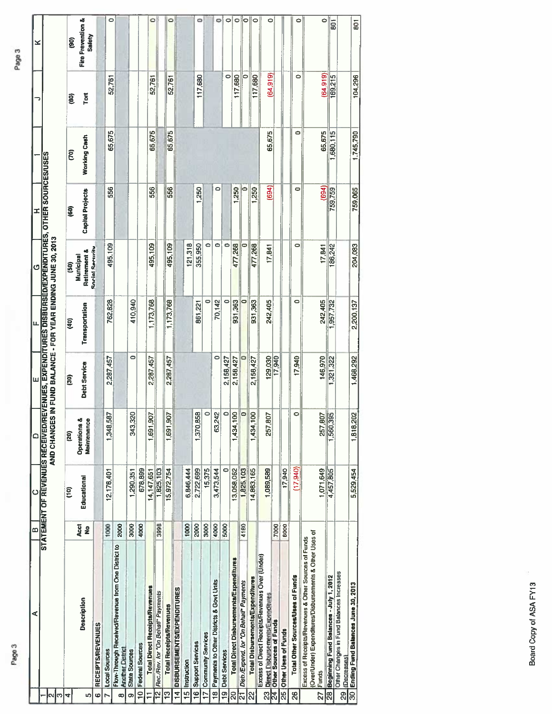|                          | ⋖                                                                                                               | m                     | $\circ$     | $\Omega$                                  | ш                 | lщ                                                                                                                                                              | G                                    | I                       |              |                | ×                                      |
|--------------------------|-----------------------------------------------------------------------------------------------------------------|-----------------------|-------------|-------------------------------------------|-------------------|-----------------------------------------------------------------------------------------------------------------------------------------------------------------|--------------------------------------|-------------------------|--------------|----------------|----------------------------------------|
| $\mid$ ຕ<br>N            |                                                                                                                 |                       |             |                                           |                   | STATEMENT OF REVENUES RECEIVED/REVENUES, EXPENDITURES DISBURSED/EXPENDITURES, OTHER SOURCES/USES<br>AND CHANGES IN FUND BALANCE - FOR YEAR ENDING JUNE 30, 2013 |                                      |                         |              |                |                                        |
| 4                        |                                                                                                                 |                       | e           | (20)                                      | g                 | GÞ)                                                                                                                                                             | ලි                                   | $\overline{60}$         | <b>CO</b>    | $\overline{6}$ | $\overline{9}$                         |
| Iņ,                      | Description                                                                                                     | Acct<br>$\frac{9}{2}$ | Educational | ď<br>۰<br><b>Operations</b><br>Maintenanc | Debt Service      | Transportation                                                                                                                                                  | <b>Retirement &amp;</b><br>Municipal | <b>Capital Projects</b> | Working Cash | <b>Tort</b>    | <b>Fire Prevention &amp;</b><br>Safety |
| ٠                        | RECEIPTS/REVENUES                                                                                               |                       |             |                                           |                   |                                                                                                                                                                 | <b>Social Security</b>               |                         |              |                |                                        |
| N                        | Local Sources                                                                                                   | 1000                  | 12,178,401  | 587<br>1,348,                             | 2,287,457         | 762,828                                                                                                                                                         | 495,109                              | 556                     | 65,675       | 52,761         | $\circ$                                |
| œ                        | Flow-Through Received/Revenue from One District to<br><b>Another District</b>                                   | 2000                  |             |                                           |                   |                                                                                                                                                                 |                                      |                         |              |                |                                        |
| Ф                        | <b>State Sources</b>                                                                                            | 3000                  | 1,290,351   | 320<br>न<br>अ                             | $\bullet$         | 410,940                                                                                                                                                         |                                      |                         |              |                |                                        |
| $\overline{\phantom{0}}$ | <b>Federal Sources</b>                                                                                          | 4000                  | 678,899     |                                           |                   |                                                                                                                                                                 |                                      |                         |              |                |                                        |
| Ξ                        | <b>Total Direct Receipts/Revenues</b>                                                                           |                       | 14,147,651  | 505<br>1,691                              | 2,287,457         | 1,173,768                                                                                                                                                       | 495,109                              | 556                     | 65,675       | 52,761         | ۰                                      |
| $\vec{5}$                | Rec./Rev. for 'On Behaff' Payments                                                                              | 3998                  | 1,825,103   |                                           |                   |                                                                                                                                                                 |                                      |                         |              |                |                                        |
| ë                        | <b>Total Receipta/Revenues</b>                                                                                  |                       | 15,972,754  | 50<br>1,691.                              | 2,287,457         | 1,173,768                                                                                                                                                       | 495,109                              | 556                     | 65,675       | 52,761         | 0                                      |
| $\vec{a}$                | <b>DISBURSEMENTS/EXPENDITURES</b>                                                                               |                       |             |                                           |                   |                                                                                                                                                                 |                                      |                         |              |                |                                        |
|                          | 15 Instruction                                                                                                  | 1000                  | 6,846,444   |                                           |                   |                                                                                                                                                                 | 121,318                              |                         |              |                |                                        |
| $\overline{9}$           | <b>Support Services</b>                                                                                         | 2000                  | 2,722,699   | 1,370,858                                 |                   | 861,221                                                                                                                                                         | 355,950                              | 1,250                   |              | 117,680        | 0                                      |
| $\overline{1}$           | <b>Community Services</b>                                                                                       | 3000                  | 15,375      | $\circ$                                   |                   | $\Rightarrow$                                                                                                                                                   | $\bullet$                            |                         |              |                |                                        |
| $\frac{8}{1}$            | Payments to Other Districts & Govt Units                                                                        | 4000                  | 3,473,544   | 63,242                                    | $\circ$           | 70,142                                                                                                                                                          | $\bullet$                            | 0                       |              |                | ¢                                      |
| ە<br>=                   | <b>Debt Services</b>                                                                                            | 5000                  | 0           | $\circ$                                   | 2,158,427         | 0                                                                                                                                                               | $\bullet$                            |                         |              | $\circ$        | 0                                      |
| g                        | Total Direct Disbursements/Expenditures                                                                         |                       | 13,058,062  | $\frac{8}{100}$<br>1,434,                 | 2,158,427         | 931,363                                                                                                                                                         | 477,268                              | 1,250                   |              | 117,680        | $\circ$                                |
| ಸ                        | Disb/Expend. for "On Behall" Payments                                                                           | 4180                  | 1,825,103   | $\circ$                                   | ö                 | 0                                                                                                                                                               | Φ                                    |                         |              | $\circ$        | 0                                      |
| 2                        | Total Disbursements/Expenditures                                                                                |                       | 14,883,165  | $\frac{8}{100}$<br>1,434,                 | 2,158,427         | 931,363                                                                                                                                                         | 477,268                              | 1,250                   |              | 117,680        | 0                                      |
| <u>ကျ</u>                | Excess of Direct Receipts/Revenues Over (Under)<br>Direct Disbursements/Expenditures                            |                       | 1,089,589   | 807<br>257,                               |                   | 242,405                                                                                                                                                         | 17,841                               | (694)                   | 65,675       | (64, 919)      | $\circ$                                |
| ₹                        | Other Sources of Funds                                                                                          | 7000                  |             |                                           | 129,030<br>17,940 |                                                                                                                                                                 |                                      |                         |              |                |                                        |
| 25                       | Other Uses of Funds                                                                                             | 8000                  | 17,940      |                                           |                   |                                                                                                                                                                 |                                      |                         |              |                |                                        |
| $\mathbf{g}$             | Total Other Sources/Uses of Funds                                                                               |                       | (17,940)    | $\circ$                                   | 17,940            | $\bullet$                                                                                                                                                       | 0                                    | 0                       | 0            | $\circ$        | $\circ$                                |
|                          | (Over/Under) Expenditures/Disbursements & Other Uses of<br>Excess of Receipts/Revenues & Other Sources of Funds |                       |             |                                           |                   |                                                                                                                                                                 |                                      |                         |              |                |                                        |
| 27                       | Funds                                                                                                           |                       | 1,071,649   | <b>SO2</b><br>257,                        | 146,970           | 242,405                                                                                                                                                         | 17, B41                              | (694)                   | 65.675       | (64, 919)      | $\circ$                                |
| 88                       | Beginning Fund Balances - July 1, 2012                                                                          |                       | 4,457,805   | 395<br>1,560                              | 1,321,322         | 1,957.732                                                                                                                                                       | 186,242                              | 759,759                 | 1,680,115    | 169,215        | ē                                      |
| $\overline{29}$          | Other Changes in Fund Balances Increases<br>(Decreases)                                                         |                       |             |                                           |                   |                                                                                                                                                                 |                                      |                         |              |                |                                        |
|                          | 30 Ending Fund Balances June 30, 2013                                                                           |                       | 5,529,454   | 202<br>1,818,2                            | 1,468,292         | 2,200,137                                                                                                                                                       | 204,083                              | 759,065                 | 1,745,790    | 104,296        | <b>SOT</b>                             |
|                          |                                                                                                                 |                       |             |                                           |                   |                                                                                                                                                                 |                                      |                         |              |                |                                        |

801

# Page 3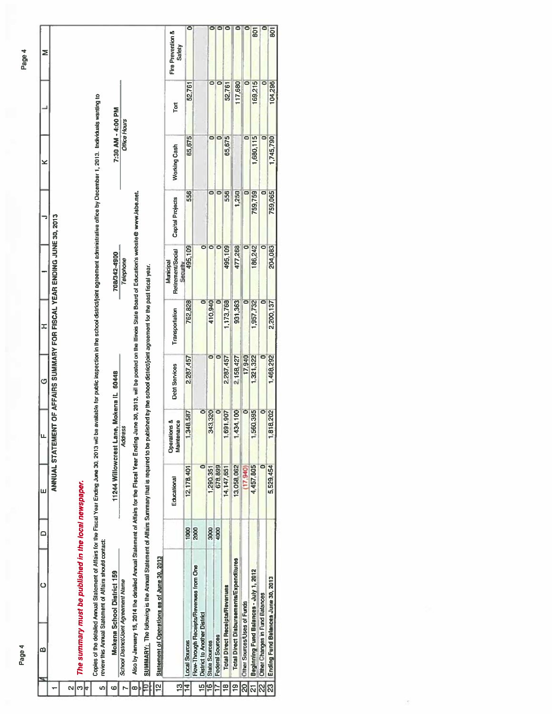|    | ∞                                     | Ö                                                                                                                                                                                                                                                                                        | $\circ$ | ш                     | щ                           | G                    | H                        |                                                                          |                      | ×                        |                          | Σ                           |
|----|---------------------------------------|------------------------------------------------------------------------------------------------------------------------------------------------------------------------------------------------------------------------------------------------------------------------------------------|---------|-----------------------|-----------------------------|----------------------|--------------------------|--------------------------------------------------------------------------|----------------------|--------------------------|--------------------------|-----------------------------|
|    |                                       |                                                                                                                                                                                                                                                                                          |         |                       |                             |                      |                          | ANNUAL STATEMENT OF AFFAIRS SUMMARY FOR FISCAL YEAR ENDING JUNE 30, 2013 |                      |                          |                          |                             |
|    |                                       |                                                                                                                                                                                                                                                                                          |         |                       |                             |                      |                          |                                                                          |                      |                          |                          |                             |
|    |                                       |                                                                                                                                                                                                                                                                                          |         |                       |                             |                      |                          |                                                                          |                      |                          |                          |                             |
| ო  |                                       | The summary must be published in the local newspaper.                                                                                                                                                                                                                                    |         |                       |                             |                      |                          |                                                                          |                      |                          |                          |                             |
|    |                                       |                                                                                                                                                                                                                                                                                          |         |                       |                             |                      |                          |                                                                          |                      |                          |                          |                             |
|    |                                       | Copies of the detailed and a Miairs for the Fiscal Year Ending June 30, 2013 will be available for public brapection in the school district/point agreement administrative office by December 1, 2013. Individuals warring to<br>review this Annual Statement of Affairs should contact: |         |                       |                             |                      |                          |                                                                          |                      |                          |                          |                             |
|    |                                       |                                                                                                                                                                                                                                                                                          |         |                       |                             |                      |                          |                                                                          |                      |                          |                          |                             |
| ဖ  |                                       | Mokena School District 159                                                                                                                                                                                                                                                               |         | 11244 Willowcrest Lan |                             | te, Mokena IL 60448  |                          | 708/342-4900                                                             |                      | 7:30 AM - 4:00 PM        |                          |                             |
|    | School District/Joint Agreement Name  |                                                                                                                                                                                                                                                                                          |         |                       | <b>Address</b>              |                      |                          | Telephone                                                                |                      | Office Hours             |                          |                             |
|    |                                       | Aso by January 15, 2014 the detailed Annual Statement of Atfairs for the Fiecal Year Ending June 30, 2013, will be posted on the litinois State Board of Education's website@ www.isbe.net.                                                                                              |         |                       |                             |                      |                          |                                                                          |                      |                          |                          |                             |
|    |                                       | SUMMARY: The following is the Annual Statement of Aftairs Summary that is required to be published by the school district/joint agreement for the past fiscal year.                                                                                                                      |         |                       |                             |                      |                          |                                                                          |                      |                          |                          |                             |
|    |                                       | Statement of Operations as of June 30, 2013                                                                                                                                                                                                                                              |         |                       |                             |                      |                          |                                                                          |                      |                          |                          |                             |
| ä  |                                       |                                                                                                                                                                                                                                                                                          |         | Educational           | Operations &<br>Maintenance | <b>Debt Services</b> | Transportation           | Retirement/Social<br>Municipal                                           | Capital Projects     | <b>Working Cash</b>      | Tort                     | Fire Prevention &<br>Safety |
| 14 | <b>Local Sources</b>                  |                                                                                                                                                                                                                                                                                          | 1000    | 12,178,401            | 1,348.587                   | 2.287,457            | 762,828                  | Security<br>495,109                                                      | 556                  | 65,675                   | 52,761                   |                             |
| ŗ  | <b>District to Another District</b>   | Flow-Through Receipts/Revenues from One                                                                                                                                                                                                                                                  | 2000    | $\bullet$             | $\bullet$                   |                      | $\overline{\bullet}$     | ۰                                                                        |                      |                          |                          |                             |
|    | State Sources                         |                                                                                                                                                                                                                                                                                          | 3000    | 1,290,351             | 343,320                     | $\bullet$            | 410,940                  | $\bullet$                                                                | $\overline{\bullet}$ | $\overline{\phantom{0}}$ | $\overline{\phantom{0}}$ |                             |
|    | <b>Federal Sources</b>                |                                                                                                                                                                                                                                                                                          | 4000    | 678,899               | $\overline{\bullet}$        | $\bullet$            |                          | $\bullet$                                                                | $\bullet$            | $\mathbf{\overline{o}}$  | $\mathbf C$              |                             |
|    | <b>Total Direct Receipts/Revenues</b> |                                                                                                                                                                                                                                                                                          |         | 14,147,651            | 691,907                     | 2,287,457            | 1,173,768                | 495,109                                                                  | 556                  | 65,675                   | 52,761                   |                             |
|    |                                       | <b>Total Direct Disbursements/Expenditures</b>                                                                                                                                                                                                                                           |         | 13,058,062            | 434,100                     | 2.158,427            | 931,363                  | 477,268                                                                  | 1,250                |                          | 117,680                  |                             |
|    | <b>Oliver Sources/Uses of Funds</b>   |                                                                                                                                                                                                                                                                                          |         | (17.940)              | $\bullet$                   | 17,940               | $\overline{\phantom{a}}$ | o                                                                        | $\blacksquare$       | 0                        | $\overline{\bullet}$     |                             |
|    |                                       | Beginning Fund Balances - July 1, 2012                                                                                                                                                                                                                                                   |         | 4,457,805             | 560,395                     | 1,321,322            | 1,957,732                | 186,242                                                                  | 759,759              | 1,680,115                | 169,215                  | ā                           |
| လ  | Other Changes in Fund Balances        |                                                                                                                                                                                                                                                                                          |         | o                     | o                           | o                    | ō                        | $\bullet$                                                                | o                    | $\overline{\phantom{0}}$ | 0                        |                             |
| အြ | Ending Fund Balances June 30, 2013    |                                                                                                                                                                                                                                                                                          |         | 5,529,454             | 818,202                     | 1,468,292            | 2,200,137                | 204,083                                                                  | 759,065              | 1,745,790                | 104,296                  | ā                           |
|    |                                       |                                                                                                                                                                                                                                                                                          |         |                       |                             |                      |                          |                                                                          |                      |                          |                          |                             |

Page 4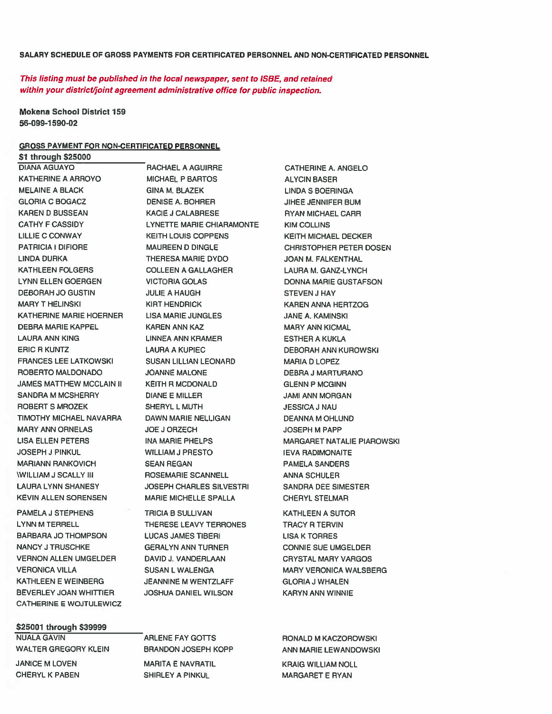#### SALARY SCHEDULE OF GROSS PAYMENTS FOR CERTIFICATED PERSONNEL AND NON-CERTIFICATED PERSONNEL

This listing must be published in the local newspaper, sent to ISBE, and retained within your district/joint agreemen<sup>t</sup> administrative office for public inspection.

RACHAEL A AGUIRRE

Mokena School District 159 56-099-1 590-02

#### GROSS PAYMENT FOR NON-CERTIFICATED PERSONNEL

\$1 through \$25000 DIANA AGUAYO KATHERINE A ARROYO MELAINE A BLACK GLORIA C BOGACZ KAREN D BUSSEAN CATHY F CASSIDY LILLIE C CONWAY PATRICIA I DIFIORE LINDA DURKA KATHLEEN FOLGERS LYNN ELLEN GOERGEN DEBORAH JO GUSTIN MARY T HELINSKI KATHERINE MARIE HOERNER DEBRA MARIE KAPPEL LAURA ANN KING ERIC R KUNTZ FRANCES LEE LATKOWSKI ROBERTO MALDONADO JAMES MATTHEW MCCLAIN II SANDRA M MCSHERRY ROBERTS MROZEK TIMOTHY MICHAEL NAVARRA MARY ANN ORNELAS LISA ELLEN PETERS JOSEPH J PINKUL MARIANN RANKOVICH \WILLIAM J SCALLY III LAURA LYNN SHANESY KEVIN ALLEN SORENSEN

PAMELA J STEPHENS LYNN M TERRELL BARBARA JO THOMPSON NANCY J TRUSCHKE VERNON ALLEN UMSELDER VERONICA VILLA KATHLEEN E WEINBERG BEVERLEY JOAN WHITTIER CATHERINE E WOJTULEWICZ

#### \$25001 through \$39999

NUALA GAVIN WALTER GREGORY KLEIN JANICE M LOVEN

CHERYL K PABEN

MICHAEL P BARTOS GINA M. BLAZEK DENISE A. BOHRER KACIE J CALABRESE LYNETTE MARIE CHIARAMONTE KEITH LOUIS COPPENS MAUREEN D DINGLE THERESA MARIE DYDO COLLEEN A GALLAGHER VICTORIA GOLAS JULIE A HAUGH KIRT HENDRICK LISA MARIE JUNGLES KAREN ANN KAZ LINNEA ANN KRAMER LAURA A KUPIEC SUSAN LILLIAN LEONARD JOANNE MALONE KEITH R MCDONALD DIANE E MILLER SHERYL L MUTH DAWN MARIE NELLIGAN JOE J ORZECH INA MARIE PHELPS WILLIAM J PRESTO SEAN REGAN ROSEMARIE SCANNELL JOSEPH CHARLES SILVESTRI MARIE MICHELLE SPALLA

TRICIA B SULLIVAN THERESE LEAVY TERRONES LUCAS JAMES TIBERI GERALYN ANN TURNER DAVID J. VANDERLAAN SUSAN LWALENGA JEANNINE M WENTZLAFF JOSHUA DANIEL WILSON

**ARLENE FAY GOTTS** BRANDON JOSEPH KOPP

MARITA E NAVRATIL SHIRLEY A PINKUL

CATHERINE A. ANGELO ALYCIN BASER LINDA S BOERINGA JIHEE JENNIFER BUM RYAN MICHAEL CARR KIM COLLINS KEITH MICHAEL DECKER CHRISTOPHER PETER DOSEN JOAN M. FALKENTHAL LAURA M. GANZ-LYNCH DONNA MARIE GUSTAFSON STEVEN J HAY KAREN ANNA HERTZOG JANE A. KAMINSKI MARY ANN KICMAL ESTHER A KUKLA DEBORAH ANN KUROWSKI MARIA D LOPEZ DEBRA J MARTURANO GLENN P MCGINN JAMI ANN MORGAN JESSICA J NAU DEANNA M OHLUND JOSEPH M PAPP MARGARET NATALIE PIAROWSKI IEVA RADIMONAITE PAMELA SANDERS ANNA SCHULER SANDRA DEE SIMESTER CHERYL STELMAR

KATHLEEN A SUTOR TRACY R TERVIN LISA K TORRES CONNIE SUE UMGELDER CRYSTAL MARY VARGOS MARY VERONICA WALSBERG GLORIA J WHALEN KARYN ANN WINNIE

RONALD M KACZOROWSKI ANN MARIE LEWANDOWSKI KRAIG WILLIAM NOLL MARGARET E RYAN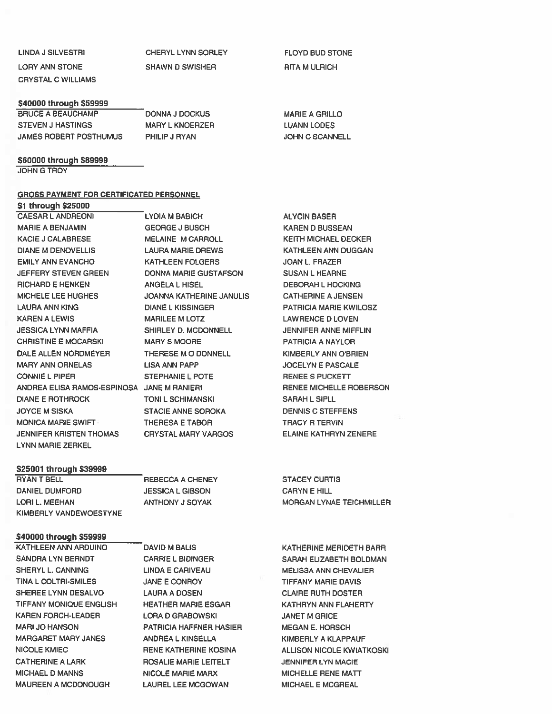CRYSTAL C WILLIAMS

LINDA J SILVESTRI CHERYL LYNN SORLEY FLOYD BUD STONE LORY ANN STONE SHAWN D SWISHER RITA M ULRICH

#### \$40000 through \$59999

| <b>BRUCE A BEAUCHAMP</b> | DONNA J DOCKUS         | <b>MARIE A GRILLO</b>  |
|--------------------------|------------------------|------------------------|
| <b>STEVEN J HASTINGS</b> | <b>MARY L KNOERZER</b> | <b>LUANN LODES</b>     |
| JAMES ROBERT POSTHUMUS   | PHILIP J RYAN          | <b>JOHN C SCANNELL</b> |

#### \$60000 through \$89999

JOHN G TROY

#### GROSS PAYMENT FOR CERTIFICATED PERSONNEL

Si through \$25000 CAESAR L ANDREONI MARIE A BENJAMIN KACIE J CALABRESE DIANE M DENOVELLIS EMILY ANN EVANCHO JEFFERY STEVEN GREEN RICHARD E HENKEN MICHELE LEE HUGHES LAURA ANN KING KAREN A LEWIS JESSICA LYNN MAFFIA CHRISTINE E MOCARSKI DALE ALLEN NORDMEYER MARY ANN ORNELAS CONNIE L PIPER ANDREA ELISA RAMOS-ESPINOSA JANE M RANIERI DIANE E ROTHROCK JOYCE M SISKA MONICA MARIE SWIFT JENNIFER KRISTEN THOMAS LYNN MARIE ZERKEL

LYDIA M BABICH GEORGE J BUSCH MELAINE M CARROLL LAURA MARIE DREWS KATHLEEN FOLGERS DONNA MARIE GUSTAFSON ANGELA L HISEL JOANNA KATHERINE JANULIS DIANE L KISSINGER MARILEE M LOTZ SHIRLEY D. MCDONNELL MARY S MOORE THERESE MO DONNELL LISA ANN PAPP STEPHANIE L POTE TONI L SCHIMANSKI STACIE ANNE SOROKA THERESA E TABOR CRYSTAL MARY VARGOS

#### S25001 through \$39999

RYAN T BELL DANIEL DUMFORD LORI L. MEEHAN KIMBERLY VANDEWOESTYNE

#### \$40000 through \$59999

KATHLEEN ANN ARDUINO SANDRA LYN BERNDT SHERYL L. CANNING TINA L COLTRI-SMILES SHEREE LYNN DESALVO TIFFANY MONIQUE ENGLISH KAREN FORCH-LEADER MARl JO HANSON MARGARET MARY JANES NICOLE KMIEC CATHERINE A LARK MICHAEL D MANNS MAUREEN A MCDONOUGH

REBECCA A CHENEY JESSICA L GIBSON ANTHONY J SOYAK

DAVID M BALlS CARRIE L BIDINGER LINDA E CARIVEAU JANE E CONROY LAURA A DOSEN HEATHER MARIE ESGAR LORA D GRABOWSKI PATRICIA HAFFNER HASIER ANDREA L KINSELLA RENE KATHERINE KOSINA ROSALIE MARIE LEITELT NICOLE MARIE MARX LAUREL LEE MCGOWAN

ALYCIN BASER KAREN D BUSSEAN KEITH MICHAEL DECKER KATHLEEN ANN DUGGAN JOAN L. FRAZER SUSAN L HEARNE DEBORAH L HOCKING CATHERINE A JENSEN PATRICIA MARIE KWILOSZ LAWRENCE D LOVEN JENNIFER ANNE MIFFLIN PATRICIA A NAYLOR **KIMBERLY ANN O'BRIEN** JOCELYN E PASCALE RENEE S PUCKETT RENEE MICHELLE ROBERSON SARAH L SIPLL DENNIS C STEFFENS TRACY R TERVIN ELAINE KATHRYN ZENERE

STACEY CURTIS CARYN E HILL MORGAN LYNAE TEICHMILLER

KATHERINE MERIDETH BARR SARAH ELIZABETH BOLDMAN MELISSA ANN CHEVALIER TIFFANY MARIE DAVIS CLAIRE RUTH DOSTER KATHRYN ANN FLAHERTY JANET M GRICE MEGAN E. HORSCH KIMBERLY A KLAPPAUF ALLISON NICOLE KWIATKOSKI JENNIFER LYN MACIE MICHELLE RENE MATT MICHAEL E MCGREAL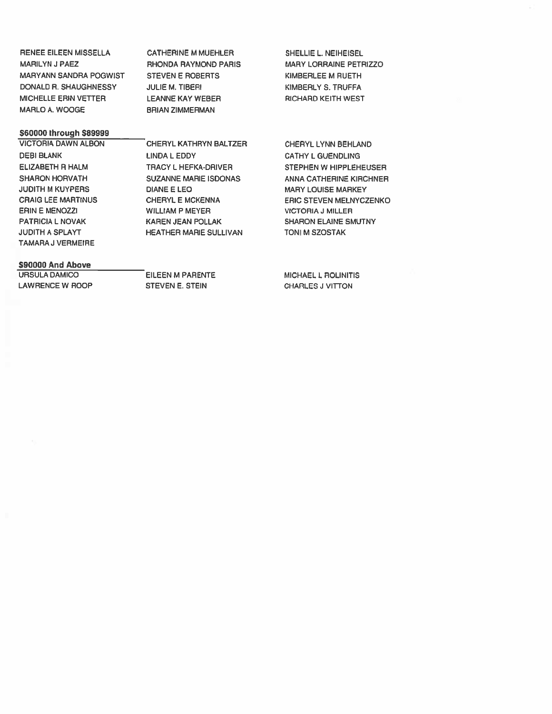| <b>RENEE EILEEN MISSELLA</b>  |
|-------------------------------|
| <b>MARILYN J PAEZ</b>         |
| <b>MARYANN SANDRA POGWIST</b> |
| DONALD R. SHAUGHNESSY         |
| <b>MICHELLE ERIN VETTER</b>   |
| <b>MARLO A. WOOGE</b>         |

CATHERINE M MUEHLER RHONDA RAYMOND PARIS STEVEN E ROBERTS JULIE M. TIBERI LEANNE KAY WEBER BRIAN ZIMMERMAN

### \$60000 through \$89999

VICTORIA DAWN ALBON DEBI BLANK ELIZABETH R HALM SHARON HORVATH JUDITH M KUYPERS CRAIG LEE MARTINUS ERIN E MENOZZI PATRICIA L NOVAK JUDITH A SPLAYT TAMARA J VERMEIRE

CHERYL KATHRYN BALTZER LINDA L EDDY TRACY L HEFKA-DRIVER SUZANNE MARIE ISDONAS DIANE E LEO CHERYL E MCKENNA WILLIAM P MEYER KAREN JEAN POLLAK HEATHER MARIE SULLIVAN

## \$90000 And Above

URSULA DAMICO LAWRENCE W ROOP

EILEEN M PARENTE STEVEN E. STEIN

SHELLIE L. NEIHEISEL MARY LORRAINE PETRIZZO KIMBERLEE M RUETH KIMBERLY S. TRUFFA RICHARD KEITH WEST

CHERYL LYNN BEHLAND CATHY L GUENDLING STEPHEN W HIPPLEHEUSER ANNA CATHERINE KIRCHNER MARY LOUISE MARKEY ERIC STEVEN MELNYCZENKO VICTORIA J MILLER SHARON ELAINE SMUTNY TONI M SZOSTAK

MICHAEL L ROLINITIS CHARLES J VITTON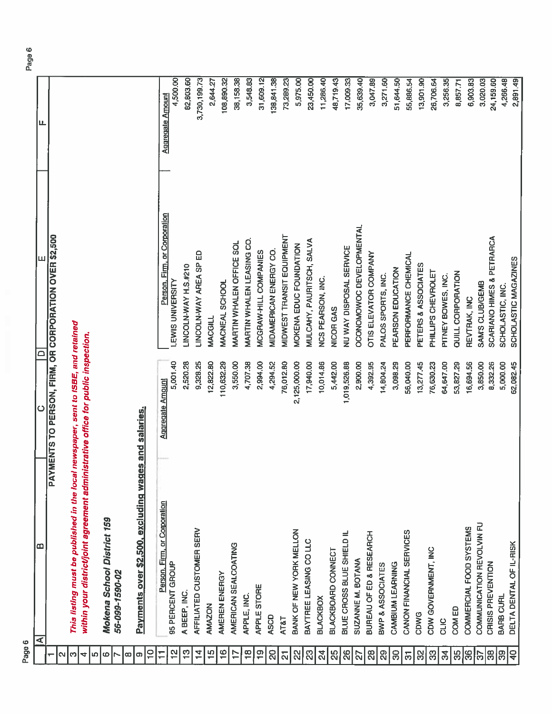| Page 6                  |                                                                                   |                                     |                                                         |                                     |
|-------------------------|-----------------------------------------------------------------------------------|-------------------------------------|---------------------------------------------------------|-------------------------------------|
|                         | മ<br>⋖                                                                            | ပ                                   | ш<br>≏                                                  | ட                                   |
|                         |                                                                                   |                                     | PAYMENTS TO PERSON, FIRM, OR CORPORATION OVER \$2,500   |                                     |
| N                       |                                                                                   |                                     |                                                         |                                     |
| S                       | This listing must be published in the local newspaper, sent to ISBE, and retained |                                     |                                                         |                                     |
| 4                       | within your district/joint agreement administrative office for public inspection. |                                     |                                                         |                                     |
| $\bullet$<br>Ю          | Mokena School District 159                                                        |                                     |                                                         |                                     |
|                         | 56-099-1590-02                                                                    |                                     |                                                         |                                     |
| ∞<br>e                  | Payments over \$2,500, excluding wages are                                        | nd salaries.                        |                                                         |                                     |
| $\frac{1}{1}$           |                                                                                   |                                     |                                                         |                                     |
| 으<br>$\mp$              | Person, Firm, or Corporation<br>95 PERCENT GROUP                                  | 5,001.40<br><b>Aggregate Amount</b> | Person, Firm, or Corporation<br><b>LEWIS UNIVERSITY</b> | 4,500.00<br><b>Aggregate Amount</b> |
| က္                      | A BEEP, INC.                                                                      | 2,520.28                            | LINCOLN-WAY H.S.#210                                    | 82,803.60                           |
| $\frac{4}{1}$           | AFFILIATED CUSTOMER SERV                                                          | 9,328.25                            | LINCOLN-WAY AREA SP ED                                  | 3,730,199.73                        |
| $\frac{5}{1}$           | AMAZON                                                                            | 12,822.80                           | <b>MACGILL</b>                                          | 2,644.27                            |
| $\frac{6}{1}$           | AMEREN ENERGY                                                                     | 110,632.29                          | MACNEAL SCHOOL                                          | 108,890.32                          |
| $\overline{1}$          | AMERICAN SEALCOATING                                                              | 3,550.00                            | MARTIN WHALEN OFFICE SOL                                | 38,158.38                           |
| $\frac{8}{10}$          | APPLE, INC.                                                                       | 4,707.38                            | MARTIN WHALEN LEASING CO.                               | 3,548.83                            |
| $\overline{1}$          | APPLE STORE                                                                       | 2,994.00                            | MCGRAW-HILL COMPANIES                                   | 31,609.12                           |
| 8                       | ASCD                                                                              | 4,294.52                            | MIDAMERICAN ENERGY CO.                                  | 138,841.38                          |
| $\overline{\mathbf{z}}$ | <b>AT&amp;T</b>                                                                   | 76,012.80                           | MIDWEST TRANSIT EQUIPMENT                               | 73,289.23                           |
| 22                      | BANK OF NEW YORK MELLON                                                           | 2,125,000.00                        | MOKENA EDUC FOUNDATION                                  | 5,975.00                            |
| 23                      | BAYTREE LEASING CO LLC                                                            | 17,940.00                           | MULCAHY, PAURITSCH, SALVA                               | 23,450.00                           |
| $\overline{24}$         | <b>BLACKBOX</b>                                                                   | 10,014.86                           | NCS PEARSON, INC.                                       | 11,286.40                           |
| $\frac{5}{2}$           | BLACKBOARD CONNECT                                                                | 5,442.00                            | NICOR GAS                                               | 48,719.43                           |
| $\overline{26}$         | BLUE CROSS BLUE SHIELD IL                                                         | 1,019,526.88                        | NUWAY DISPOSAL SERVICE                                  | 17,009.33                           |
| 2                       | SUZANNE M. BOTANA                                                                 | 2,900.00                            | OCONOMOWOC DEVELOPMENTAL                                | 35,639.40                           |
| $28$                    | BUREAU OF ED & RESEARCH                                                           | 4,392.95                            | OTIS ELEVATOR COMPANY                                   | 3,047.89                            |
| $\mathbb{S}^2$          | BWP & ASSOCIATES                                                                  | 14,804.24                           | PALOS SPORTS, INC.                                      | 3,271.60                            |
| $\mathcal{B}$           | CAMBIUM LEARNING                                                                  | 3,098.29                            | PEARSON EDUCATION                                       | 51,644.50                           |
| $\overline{\varpi}$     | CANON FINANCIAL SERVICES                                                          | 56,040.00                           | PERFORMANCE CHEMICAL                                    | 55,886.54                           |
| 8                       | CDWG                                                                              | 13,277.45                           | PETERS & ASSOCIATES                                     | 13,901.90                           |
| සි                      | CDW GOVERNMENT, INC                                                               | 76,630.23                           | PHILLIPS CHEVROLET                                      | 26,706.64                           |
| $\mathfrak{F}$          | CLIC                                                                              | 64,647.00                           | PITNEY BOWES, INC.                                      | 3,256.35                            |
| 35                      | COM ED                                                                            | 53,827.29                           | QUILL CORPORATION                                       | 8,857.71                            |
| $\frac{8}{3}$           | COMMERCIAL FOOD SYSTEMS                                                           | 16,694.56                           | REVTRAK, INC                                            | 6,903.83                            |
| င္ပ                     | COMMUNICATION REVOLVIN FU                                                         | 3,850.00                            | SAM'S CLUB/GEMB                                         | 3,020.03                            |
| န္တ                     | CRISIS PREVENTION                                                                 | 8,332.26                            | SCARIANO HIMES & PETRARCA                               | 24,159.60                           |
| ခြ                      | BARB CURL                                                                         | 5,000.00                            | SCHOLASTIC, INC.                                        | 4,266.48                            |
| 우                       | DELTA DENTAL OF IL-RISK                                                           | 62,082.45                           | SCHOLASTIC MAGAZINES                                    | 2,891.49                            |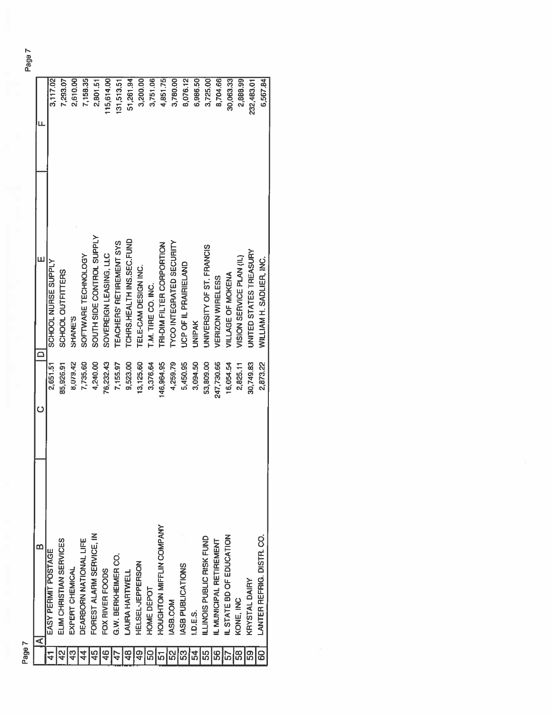|                 | മ<br>⋖                          | Ò          | Ш                               | щ          |
|-----------------|---------------------------------|------------|---------------------------------|------------|
|                 | EASY PERMIT POSTAGE             | 2,651.51   | SCHOOL NURSE SUPPLY             | 3,117.02   |
| $\frac{2}{3}$   | ELIM CHRISTIAN SERVICES         | 85,926.91  | SCHOOL OUTFITTERS               | 7,293.07   |
| 43              | EXPERT CHEMICAL                 | 8,079.42   | SHANE'S                         | 2,610.00   |
| $\frac{4}{4}$   | DEARBORN NATIONAL LIFE          | 7,735.60   | SOFTWARE TECHNOLOGY             | 7,158.35   |
| 45              | FOREST ALARM SERVICE, IN        | 4,240.00   | SOUTH SIDE CONTROL SUPPLY       | 2,801.51   |
| $\frac{6}{4}$   | FOX RIVER FOODS                 | 76,232.43  | SOVEREIGN LEASING, LLC          | 115,614.00 |
| $\overline{47}$ | G.W. BERKHEIMER CO.             | 7,155.97   | <b>TEACHERS' RETIREMENT SYS</b> | 131,513.51 |
| $\frac{48}{5}$  | LAURA HARTWELL                  | 9,523.00   | TCHRS.HEALTH INS.SEC.FUND       | 51,261.94  |
| $\frac{6}{7}$   | HELSEL-JEPPERSON                | 13,125.60  | TELE-CAM DESIGN INC.            | 3,200.00   |
| 50              | HOME DEPOT                      | 3,376.64   | T.M. TIRE CO. INC.              | 3,751.06   |
| $\overline{5}$  | <b>HOUGHTON MIFFLIN COMPANY</b> | 146,964.95 | TRI-DIM FILTER CORPORTION       | 4,851.75   |
| 52              | ASB.COM                         | 4,259.79   | <b>IYCO INTEGRATED SECURITY</b> | 3,780.00   |
| 53              | ASB PUBLICATIONS                | 5,450.95   | <b>JCP OF IL PRAIRIELAND</b>    | 8,076.12   |
| 54              | 1.D.E.S.                        | 3,094.50   | <b>UNIPAK</b>                   | 6,986.50   |
| 55              | ILLINOIS PUBLIC RISK FUND       | 53,809.00  | UNIVERSITY OF ST. FRANCIS       | 3,725.00   |
| 56              | IL MUNICIPAL RETIREMENT         | 247,730.66 | <b>VERIZON WIRELESS</b>         | 8,704.66   |
| 57              | IL STATE BD OF EDUCATION        | 16,054.54  | VILLAGE OF MOKENA               | 30,063.33  |
| 68              | KONE, INC                       | 2,825.11   | VISION SERVICE PLAN (IL)        | 2,888.99   |
| 59              | KRYSTAL DAIRY                   | 30,749.83  | UNITED STATES TREASURY          | 232,483.01 |
| 8               | LANTER REFRIG. DISTR. CO.       | 2,873.22   | WILLIAM H. SADLIER, INC.        | 6,567.84   |
|                 |                                 |            |                                 |            |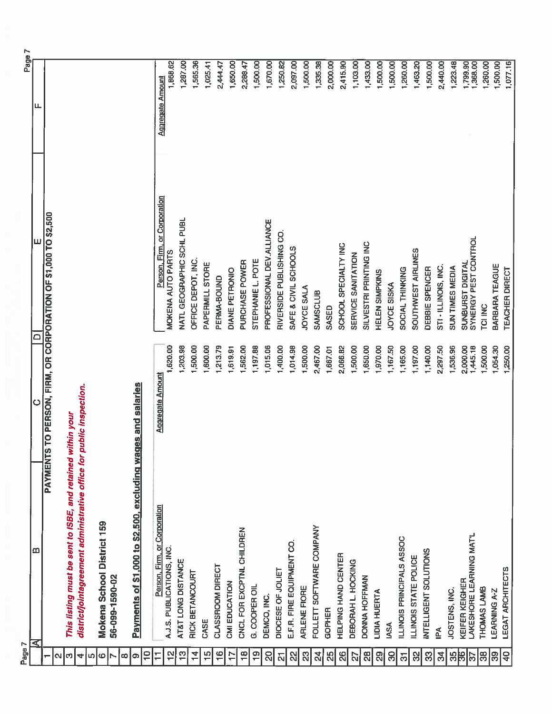| Page 7                         |                                                                      |                         |                                                       | Page 7                  |
|--------------------------------|----------------------------------------------------------------------|-------------------------|-------------------------------------------------------|-------------------------|
|                                | മ<br>$\blacktriangleleft$                                            | ပ                       | ш<br>▭                                                | щ                       |
| N                              | <b>PAYMENTS</b>                                                      |                         | TO PERSON, FIRM, OR CORPORATION OF \$1,000 TO \$2,500 |                         |
| S                              | This listing must be sent to ISBE, and retained within your          |                         |                                                       |                         |
| $\blacktriangleleft$           | district/jointagreement administrative office for public inspection. |                         |                                                       |                         |
| r)                             |                                                                      |                         |                                                       |                         |
| 6                              | Mokena School District 159                                           |                         |                                                       |                         |
| œ                              | 56-099-1590-02                                                       |                         |                                                       |                         |
| o                              | Payments of \$1,000 to \$2,500, excluding wag                        | es and salaries         |                                                       |                         |
| $\overline{10}$                |                                                                      |                         |                                                       |                         |
| Ξ                              | Person, Firm, or Corporation                                         | <b>Aggregate Amount</b> | Person, Firm, or Corporation                          | <b>Aggregate Amount</b> |
| 읩                              | A.J.S. PUBLICATIONS, INC.                                            | 1,620.00                | MOKENA AUTO PARTS                                     | 1,868.62                |
| $\frac{1}{2}$                  | AT&T LONG DISTANCE                                                   | 1,203.98                | NATL GEOGRAPHIC SCHL PUBL                             | 1,287.00                |
| $\overline{4}$                 | RICK BETANCOURT                                                      | 1,500.00                | OFFICE DEPOT, INC.                                    | 1,565.36                |
| $\frac{5}{1}$                  | CASE                                                                 | 1,600.00                | PAPERMILL STORE                                       | 1,025.41                |
| $\frac{6}{1}$                  | CLASSROOM DIRECT                                                     | 1,213.79                | PERMA-BOUND                                           | 2,444.47                |
| $\ddot{ }$                     | CMI EDUCATION                                                        | 1,619.91                | DIANE PETRONIO                                        | 1,650.00                |
| $\frac{8}{1}$                  | CNCL FOR EXCPTNL CHILDREN                                            | 1,562.00                | PURCHASE POWER                                        | 2,288.47                |
| $\frac{0}{1}$                  | G. COOPER OIL                                                        | ,197.88                 | STEPHANIE L. POTE                                     | 1,500.00                |
| 20                             | DEMCO, INC.                                                          | 1,015.06                | PROFESSIONAL DEV.ALLIANCE                             | 1,670.00                |
| $\overline{\mathbf{N}}$        | DIOCESE OF JOLIET                                                    | 1,400.00                | RIVERSIDE PUBLISHING CO                               | 1,250.82                |
| $\mathbb{S}$                   | E.F.R. FIRE EQUIPMENT CO.                                            | 1,014.98                | SAFE & CIVIL SCHOOLS                                  | 2,097.00                |
| 23                             | ARLENE FIORE                                                         | 1,500.00                | JOYCE SALA                                            | 1,500.00                |
| $\frac{d}{2}$                  | FOLLETT SOFTWARE COMPANY                                             | 2,467.00                | SAMSCLUB                                              | 1,335.38                |
| $\frac{5}{25}$                 | GOPHER                                                               | 1,667.01                | SASED                                                 | 2,000.00                |
| 26                             | HELPING HAND CENTER                                                  | 2,066.82                | SCHOOL SPECIALTY INC                                  | 2,415.90                |
| 27                             | DEBORAH L. HOCKING                                                   | 1,500.00                | SERVICE SANITATION                                    | 1,103.00                |
| 82                             | DONNA HOFFMAN                                                        | 1,650.00                | SILVESTRI PRINTING INC                                | 1,433.00                |
| $\mathbb{R}$                   | <b>LIDIA HUERTA</b>                                                  | ,970.00                 | <b>HELEN SIMPKINS</b>                                 | 1,500.00                |
| 8                              | <b>IASA</b>                                                          | ,167.50                 | JOYCE SISKA                                           | ,500.00                 |
| $\overline{\overline{\omega}}$ | ILLINOIS PRINCIPALS ASSOC                                            | 1,165.00                | SOCIAL THINKING                                       | 1,260.00                |
| 32                             | ILLINOIS STATE POLICE                                                | 1,197.00                | SOUTHWEST AIRLINES                                    | 1,463.20                |
| 8                              | <b>INTELLIGENT SOLUTIONS</b>                                         | 1,140.00                | DEBBIE SPENCER                                        | 1,500.00                |
| $\mathcal{L}$                  | Ě                                                                    | 2,297.50                | STI - ILLINOIS, INC.                                  | 2,440.00                |
| 8k                             | JOSTENS, INC.                                                        | 1,536.96                | SUN TIMES MEDIA                                       | 1,223.48                |
| ြ                              | LAKESHORE LEARNING MAT'L<br>KEIFER KEIGHER                           | 1,445.18<br>2,000.00    | SYNERGY PEST CONTROL<br>SUNBURST DIGITAL              | 1,799.90<br>,368.00     |
| ခြို့                          | THOMAS LAMB                                                          | 1,500.00                | TCI INC                                               | 1,260.00                |
| ခြ                             | <b>LEARNING A-Z</b>                                                  | 1,054.30                | BARBARA TEAGUE                                        | 1,500.00                |
| 우                              | LEGAT ARCHITECTS                                                     | 1,250.00                | <b>TEACHER DIRECT</b>                                 | 1,077.16                |
|                                |                                                                      |                         |                                                       |                         |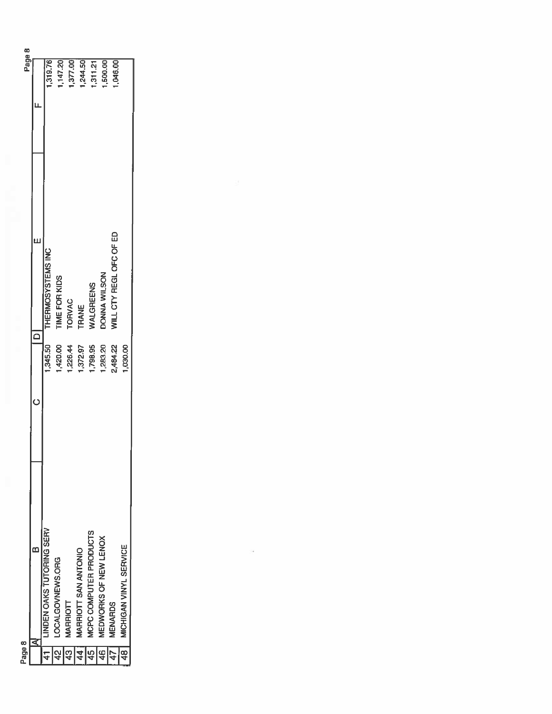| Page 8          |                                 |          |                         | Page 8         |
|-----------------|---------------------------------|----------|-------------------------|----------------|
|                 | œ                               |          |                         |                |
| $\overline{41}$ | <b>INDEN OAKS TUTORING SERV</b> | 345.50   | THERMOSYSTEMS INC       | 1,319.76       |
| $rac{1}{42}$    | LOCALGOVNEWS.ORG                | ,420.00  | <b>TIME FOR KIDS</b>    | 147.20         |
| 43              | MARRIOTT                        | ,226.44  | <b>TORVAC</b>           | 377.00         |
| $\overline{44}$ | MARRIOTT SAN ANTONIO            | 1,372.97 | <b>TRANE</b>            | .244.50        |
| $\sqrt{45}$     | MCPC COMPUTER PRODUCTS          | ,798.95  | WALGREENS               | 311.21         |
| 46              | MEDWORKS OF NEW LENOX           | ,283.20  | DONNA WILSON            | ,500.00        |
| $\overline{47}$ | <b>MENARDS</b>                  | 2,484.22 | WILL CTY REGL OFC OF ED | <b>,046.00</b> |
| $\frac{18}{1}$  | MICHIGAN VINYL SERVICE          | 1,030.00 |                         |                |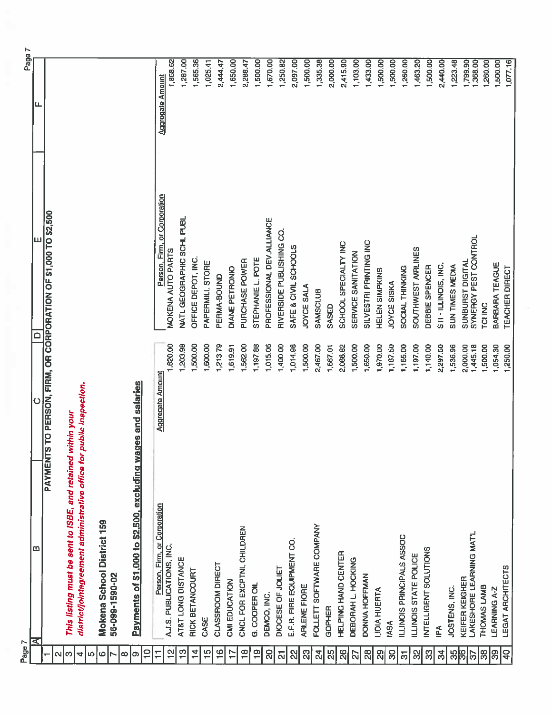| Page 7                  |                                                                      |                         |                                                       | Page 7                  |
|-------------------------|----------------------------------------------------------------------|-------------------------|-------------------------------------------------------|-------------------------|
|                         | ω<br>⋜                                                               | $\circ$                 | ≏                                                     | ட                       |
| N                       | <b>PAYMENTS</b>                                                      |                         | TO PERSON, FIRM, OR CORPORATION OF \$1,000 TO \$2,500 |                         |
| က                       | This listing must be sent to ISBE, and retained within your          |                         |                                                       |                         |
| $\blacktriangleleft$    | district/jointagreement administrative office for public inspection. |                         |                                                       |                         |
| $\bullet$<br>LO         |                                                                      |                         |                                                       |                         |
| r                       | Mokena School District 159<br>56-099-1590-02                         |                         |                                                       |                         |
| $\infty$                |                                                                      |                         |                                                       |                         |
| $\sigma$                | Payments of \$1,000 to \$2,500, excluding wages and salaries         |                         |                                                       |                         |
| $\frac{1}{1}$           |                                                                      |                         |                                                       |                         |
| $\overline{1}$          | Person, Firm, or Corporation                                         | <b>Aggregate Amount</b> | Person, Firm, or Corporation                          | <b>Aggregate Amount</b> |
| $\frac{1}{2}$           | A.J.S. PUBLICATIONS, INC.                                            | 1,620.00                | MOKENA AUTO PARTS                                     | 1,868.62                |
| င္း                     | AT&T LONG DISTANCE                                                   | 1,203.98                | NATL GEOGRAPHIC SCHL PUBL                             | 1,287.00                |
| $\frac{4}{11}$          | RICK BETANCOURT                                                      | 1,500.00                | OFFICE DEPOT, INC.                                    | 1,565.36                |
| $\frac{15}{10}$         | CASE                                                                 | 1,600.00                | PAPERMILL STORE                                       | 1,025.41                |
| $\frac{6}{1}$           | CLASSROOM DIRECT                                                     | 1,213.79                | PERMA-BOUND                                           | 2,444.47                |
| $\overline{1}$          | CMI EDUCATION                                                        | 1,619.91                | <b>DIANE PETRONIO</b>                                 | 1,650.00                |
| $\frac{\infty}{\infty}$ | CNCL FOR EXCPTNL CHILDREN                                            | 1,562.00                | PURCHASE POWER                                        | 2,288.47                |
| $\frac{1}{2}$           | G. COOPER OIL                                                        | 1,197.88                | STEPHANIE L. POTE                                     | 1,500.00                |
| œ                       | DEMCO, INC.                                                          | ,015.06                 | PROFESSIONAL DEV.ALLIANCE                             | 1,670.00                |
| $\overline{\mathbf{z}}$ | DIOCESE OF JOLIET                                                    | 1,400.00                | RIVERSIDE PUBLISHING CO.                              | 1,250.82                |
| $\frac{2}{3}$           | E.F.R. FIRE EQUIPMENT CO.                                            | 1,014.98                | SAFE & CIVIL SCHOOLS                                  | 2,097.00                |
| $\mathbb{Z}$            | ARLENE FIORE                                                         | 1,500.00                | JOYCE SALA                                            | 1,500.00                |
| 있                       | FOLLETT SOFTWARE COMPANY                                             | 2,467.00                | <b>SAMSCLUB</b>                                       | 1,335.38                |
| 25                      | GOPHER                                                               | 1,667.01                | SASED                                                 | 2,000.00                |
| $\frac{8}{2}$           | HELPING HAND CENTER                                                  | 2,066.82                | SCHOOL SPECIALTY INC                                  | 2,415.90                |
| $\overline{27}$         | DEBORAH L. HOCKING                                                   | 1,500.00                | SERVICE SANITATION                                    | 1,103.00                |
| 28                      | DONNA HOFFMAN                                                        | 1,650.00                | SILVESTRI PRINTING INC                                | 1,433.00                |
| 89                      | LIDIA HUERTA                                                         | 1,970.00                | HELEN SIMPKINS                                        | 1,500.00                |
| $\mathbf{S}$            | <b>IASA</b>                                                          | 1,167.50                | JOYCE SISKA                                           | 1,500.00                |
|                         | ILLINOIS PRINCIPALS ASSOC                                            | 1,165.00                | SOCIAL THINKING                                       | 1,260.00                |
| 8                       | ILLINOIS STATE POLICE                                                | 1,197.00                | SOUTHWEST AIRLINES                                    | 1,463.20                |
| 33                      | INTELLIGENT SOLUTIONS                                                | 1,140.00                | DEBBIE SPENCER                                        | 1,500.00                |
| $\mathfrak{L}$          | IPA                                                                  | 2,297.50                | STI - ILLINOIS, INC.                                  | 2,440.00                |
| 85                      | JOSTENS, INC.                                                        | 1,536.96                | SUN TIMES MEDIA                                       | 1,223.48                |
| 읽<br> ြ                 | LAKESHORE LEARNING MAT'L<br>KEIFER KEIGHER                           | 1,445.18<br>2,000.00    | SYNERGY PEST CONTROL<br>SUNBURST DIGITAL              | 1,799.90<br>1,368.00    |
| $\frac{8}{2}$           | THOMAS LAMB                                                          | 1,500.00                | TCI INC                                               | 1,260.00                |
| ၉၉                      | <b>LEARNING A-Z</b>                                                  | 1,054.30                | BARBARA TEAGUE                                        | 500.00                  |
| 유                       | LEGAT ARCHITECTS                                                     | 1,250.00                | TEACHER DIRECT                                        | 1,077.16                |
|                         |                                                                      |                         |                                                       |                         |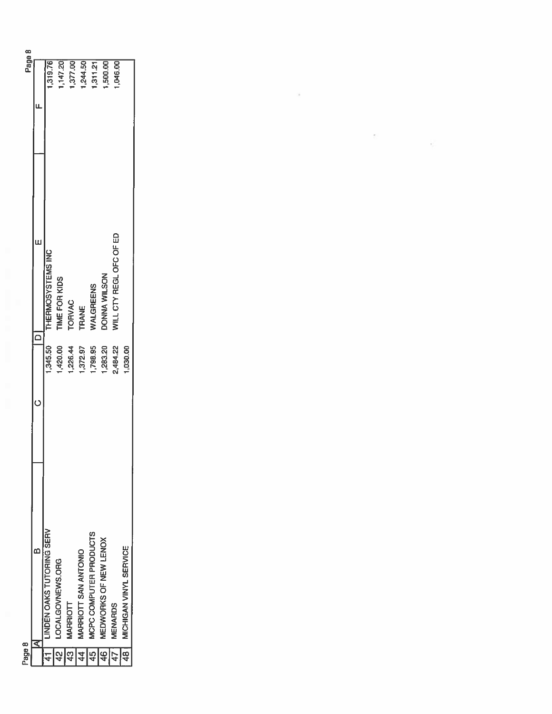| 147.20<br>1,377.00<br>.244.50<br>1,319.76<br>500.00<br>,046.00<br>1,311.21<br>WILL CTY REGL OFC OF ED<br>Щ<br>THERMOSYSTEMS INC<br>DONNA WILSON<br><b>TIME FOR KIDS</b><br><b>NALGREENS</b><br><b>TORVAC</b><br><b>TRANE</b><br>420.00<br>1,283.20<br>1,345.50<br>1,226.44<br>1,372.97<br>1,798.95<br>2,484.22<br>1,030.00<br><b>LINDEN OAKS TUTORING SERV</b><br>MCPC COMPUTER PRODUCTS<br>MEDWORKS OF NEW LENOX<br>MICHIGAN VINYL SERVICE<br>MARRIOTT SAN ANTONIO<br>LOCALGOVNEWS.ORG<br>MARRIOTT<br><b>MENARDS</b><br>ਟ<br>$\sqrt{41}$<br>$\frac{2}{3}$<br>$\frac{45}{ }$<br>$\frac{1}{3}$<br>$\frac{46}{3}$<br>$\frac{4}{4}$<br>$\frac{1}{4}$<br>$\overline{47}$ | Page 8 |  | Page 8 |
|----------------------------------------------------------------------------------------------------------------------------------------------------------------------------------------------------------------------------------------------------------------------------------------------------------------------------------------------------------------------------------------------------------------------------------------------------------------------------------------------------------------------------------------------------------------------------------------------------------------------------------------------------------------------|--------|--|--------|
|                                                                                                                                                                                                                                                                                                                                                                                                                                                                                                                                                                                                                                                                      |        |  |        |
|                                                                                                                                                                                                                                                                                                                                                                                                                                                                                                                                                                                                                                                                      |        |  |        |
|                                                                                                                                                                                                                                                                                                                                                                                                                                                                                                                                                                                                                                                                      |        |  |        |
|                                                                                                                                                                                                                                                                                                                                                                                                                                                                                                                                                                                                                                                                      |        |  |        |
|                                                                                                                                                                                                                                                                                                                                                                                                                                                                                                                                                                                                                                                                      |        |  |        |
|                                                                                                                                                                                                                                                                                                                                                                                                                                                                                                                                                                                                                                                                      |        |  |        |
|                                                                                                                                                                                                                                                                                                                                                                                                                                                                                                                                                                                                                                                                      |        |  |        |
|                                                                                                                                                                                                                                                                                                                                                                                                                                                                                                                                                                                                                                                                      |        |  |        |
|                                                                                                                                                                                                                                                                                                                                                                                                                                                                                                                                                                                                                                                                      |        |  |        |

 $\mathcal{A}^{\mathcal{A}}$  . In the set of  $\mathcal{A}^{\mathcal{A}}$